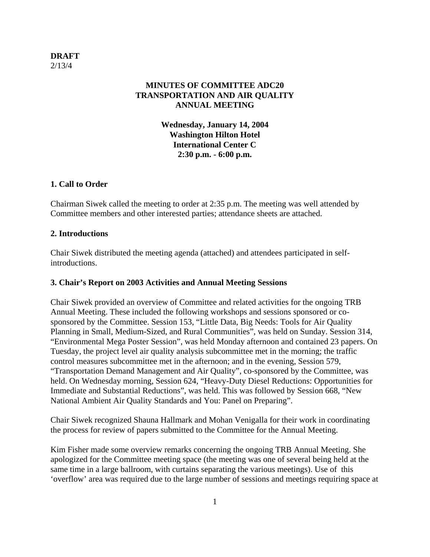# **DRAFT** 2/13/4

# **MINUTES OF COMMITTEE ADC20 TRANSPORTATION AND AIR QUALITY ANNUAL MEETING**

**Wednesday, January 14, 2004 Washington Hilton Hotel International Center C 2:30 p.m. - 6:00 p.m.** 

# **1. Call to Order**

Chairman Siwek called the meeting to order at 2:35 p.m. The meeting was well attended by Committee members and other interested parties; attendance sheets are attached.

### **2. Introductions**

Chair Siwek distributed the meeting agenda (attached) and attendees participated in selfintroductions.

# **3. Chair's Report on 2003 Activities and Annual Meeting Sessions**

Chair Siwek provided an overview of Committee and related activities for the ongoing TRB Annual Meeting. These included the following workshops and sessions sponsored or cosponsored by the Committee. Session 153, "Little Data, Big Needs: Tools for Air Quality Planning in Small, Medium-Sized, and Rural Communities", was held on Sunday. Session 314, "Environmental Mega Poster Session", was held Monday afternoon and contained 23 papers. On Tuesday, the project level air quality analysis subcommittee met in the morning; the traffic control measures subcommittee met in the afternoon; and in the evening, Session 579, "Transportation Demand Management and Air Quality", co-sponsored by the Committee, was held. On Wednesday morning, Session 624, "Heavy-Duty Diesel Reductions: Opportunities for Immediate and Substantial Reductions", was held. This was followed by Session 668, "New National Ambient Air Quality Standards and You: Panel on Preparing".

Chair Siwek recognized Shauna Hallmark and Mohan Venigalla for their work in coordinating the process for review of papers submitted to the Committee for the Annual Meeting.

Kim Fisher made some overview remarks concerning the ongoing TRB Annual Meeting. She apologized for the Committee meeting space (the meeting was one of several being held at the same time in a large ballroom, with curtains separating the various meetings). Use of this 'overflow' area was required due to the large number of sessions and meetings requiring space at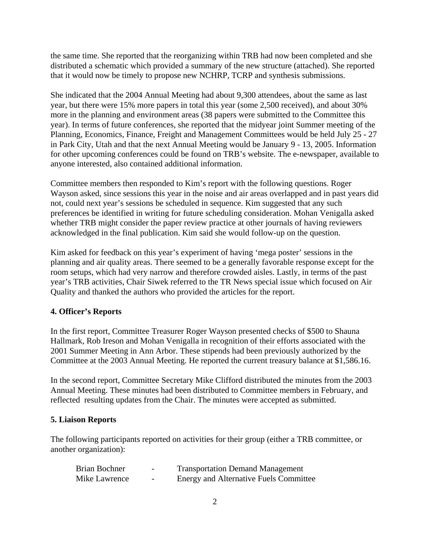the same time. She reported that the reorganizing within TRB had now been completed and she distributed a schematic which provided a summary of the new structure (attached). She reported that it would now be timely to propose new NCHRP, TCRP and synthesis submissions.

She indicated that the 2004 Annual Meeting had about 9,300 attendees, about the same as last year, but there were 15% more papers in total this year (some 2,500 received), and about 30% more in the planning and environment areas (38 papers were submitted to the Committee this year). In terms of future conferences, she reported that the midyear joint Summer meeting of the Planning, Economics, Finance, Freight and Management Committees would be held July 25 - 27 in Park City, Utah and that the next Annual Meeting would be January 9 - 13, 2005. Information for other upcoming conferences could be found on TRB's website. The e-newspaper, available to anyone interested, also contained additional information.

Committee members then responded to Kim's report with the following questions. Roger Wayson asked, since sessions this year in the noise and air areas overlapped and in past years did not, could next year's sessions be scheduled in sequence. Kim suggested that any such preferences be identified in writing for future scheduling consideration. Mohan Venigalla asked whether TRB might consider the paper review practice at other journals of having reviewers acknowledged in the final publication. Kim said she would follow-up on the question.

Kim asked for feedback on this year's experiment of having 'mega poster' sessions in the planning and air quality areas. There seemed to be a generally favorable response except for the room setups, which had very narrow and therefore crowded aisles. Lastly, in terms of the past year's TRB activities, Chair Siwek referred to the TR News special issue which focused on Air Quality and thanked the authors who provided the articles for the report.

# **4. Officer's Reports**

In the first report, Committee Treasurer Roger Wayson presented checks of \$500 to Shauna Hallmark, Rob Ireson and Mohan Venigalla in recognition of their efforts associated with the 2001 Summer Meeting in Ann Arbor. These stipends had been previously authorized by the Committee at the 2003 Annual Meeting. He reported the current treasury balance at \$1,586.16.

In the second report, Committee Secretary Mike Clifford distributed the minutes from the 2003 Annual Meeting. These minutes had been distributed to Committee members in February, and reflected resulting updates from the Chair. The minutes were accepted as submitted.

#### **5. Liaison Reports**

The following participants reported on activities for their group (either a TRB committee, or another organization):

| Brian Bochner | $\overline{\phantom{0}}$ | <b>Transportation Demand Management</b> |
|---------------|--------------------------|-----------------------------------------|
| Mike Lawrence | $\overline{\phantom{0}}$ | Energy and Alternative Fuels Committee  |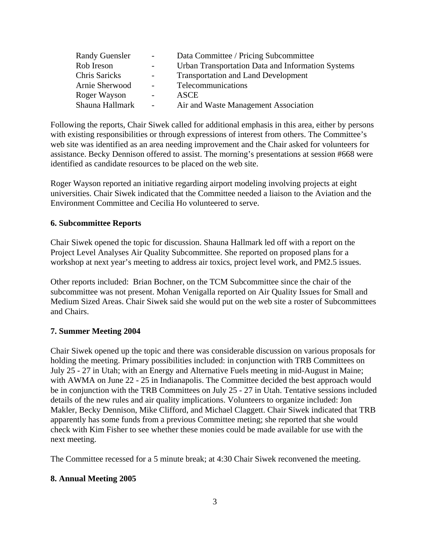| <b>Randy Guensler</b> | $\sim 100$               | Data Committee / Pricing Subcommittee             |
|-----------------------|--------------------------|---------------------------------------------------|
| Rob Ireson            | $\overline{\phantom{a}}$ | Urban Transportation Data and Information Systems |
| <b>Chris Saricks</b>  | $\sim 100$               | <b>Transportation and Land Development</b>        |
| Arnie Sherwood        | $\sim$                   | Telecommunications                                |
| Roger Wayson          | $\overline{\phantom{a}}$ | ASCE                                              |
| Shauna Hallmark       | $\sim 100$               | Air and Waste Management Association              |

Following the reports, Chair Siwek called for additional emphasis in this area, either by persons with existing responsibilities or through expressions of interest from others. The Committee's web site was identified as an area needing improvement and the Chair asked for volunteers for assistance. Becky Dennison offered to assist. The morning's presentations at session #668 were identified as candidate resources to be placed on the web site.

Roger Wayson reported an initiative regarding airport modeling involving projects at eight universities. Chair Siwek indicated that the Committee needed a liaison to the Aviation and the Environment Committee and Cecilia Ho volunteered to serve.

### **6. Subcommittee Reports**

Chair Siwek opened the topic for discussion. Shauna Hallmark led off with a report on the Project Level Analyses Air Quality Subcommittee. She reported on proposed plans for a workshop at next year's meeting to address air toxics, project level work, and PM2.5 issues.

Other reports included: Brian Bochner, on the TCM Subcommittee since the chair of the subcommittee was not present. Mohan Venigalla reported on Air Quality Issues for Small and Medium Sized Areas. Chair Siwek said she would put on the web site a roster of Subcommittees and Chairs.

#### **7. Summer Meeting 2004**

Chair Siwek opened up the topic and there was considerable discussion on various proposals for holding the meeting. Primary possibilities included: in conjunction with TRB Committees on July 25 - 27 in Utah; with an Energy and Alternative Fuels meeting in mid-August in Maine; with AWMA on June 22 - 25 in Indianapolis. The Committee decided the best approach would be in conjunction with the TRB Committees on July 25 - 27 in Utah. Tentative sessions included details of the new rules and air quality implications. Volunteers to organize included: Jon Makler, Becky Dennison, Mike Clifford, and Michael Claggett. Chair Siwek indicated that TRB apparently has some funds from a previous Committee meting; she reported that she would check with Kim Fisher to see whether these monies could be made available for use with the next meeting.

The Committee recessed for a 5 minute break; at 4:30 Chair Siwek reconvened the meeting.

#### **8. Annual Meeting 2005**